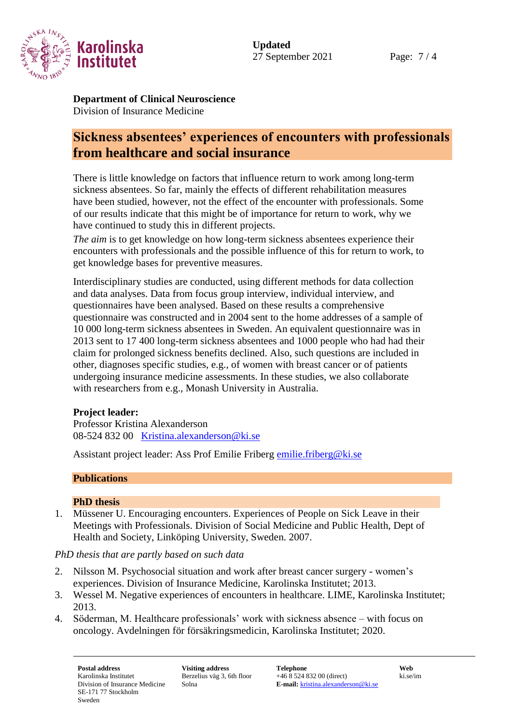

#### **Department of Clinical Neuroscience** Division of Insurance Medicine

# **Sickness absentees' experiences of encounters with professionals from healthcare and social insurance**

There is little knowledge on factors that influence return to work among long-term sickness absentees. So far, mainly the effects of different rehabilitation measures have been studied, however, not the effect of the encounter with professionals. Some of our results indicate that this might be of importance for return to work, why we have continued to study this in different projects.

*The aim* is to get knowledge on how long-term sickness absentees experience their encounters with professionals and the possible influence of this for return to work, to get knowledge bases for preventive measures.

Interdisciplinary studies are conducted, using different methods for data collection and data analyses. Data from focus group interview, individual interview, and questionnaires have been analysed. Based on these results a comprehensive questionnaire was constructed and in 2004 sent to the home addresses of a sample of 10 000 long-term sickness absentees in Sweden. An equivalent questionnaire was in 2013 sent to 17 400 long-term sickness absentees and 1000 people who had had their claim for prolonged sickness benefits declined. Also, such questions are included in other, diagnoses specific studies, e.g., of women with breast cancer or of patients undergoing insurance medicine assessments. In these studies, we also collaborate with researchers from e.g., Monash University in Australia.

# **Project leader:**

Professor Kristina Alexanderson 08-524 832 00 [Kristina.alexanderson@ki.se](mailto:Kristina.alexanderson@ki.se)

Assistant project leader: Ass Prof Emilie Friberg [emilie.friberg@ki.se](mailto:emilie.friberg@ki.se)

### **Publications**

#### **PhD thesis**

1. Müssener U. Encouraging encounters. Experiences of People on Sick Leave in their Meetings with Professionals. Division of Social Medicine and Public Health, Dept of Health and Society, Linköping University, Sweden. 2007.

*PhD thesis that are partly based on such data*

- 2. Nilsson M. Psychosocial situation and work after breast cancer surgery women's experiences. Division of Insurance Medicine, Karolinska Institutet; 2013.
- 3. Wessel M. Negative experiences of encounters in healthcare. LIME, Karolinska Institutet; 2013.
- 4. Söderman, M. Healthcare professionals' work with sickness absence with focus on oncology. Avdelningen för försäkringsmedicin, Karolinska Institutet; 2020.

Karolinska Institutet Division of Insurance Medicine SE-171 77 Stockholm Sweden

Berzelius väg 3, 6th floor Solna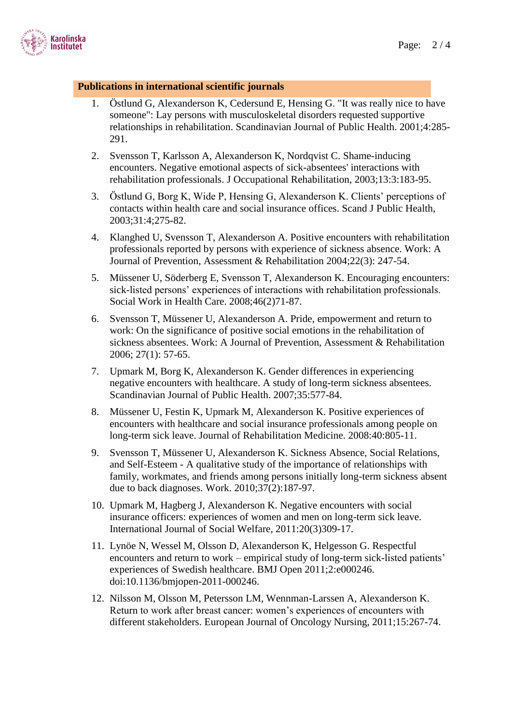

## **Publications in international scientific journals**

- 1. Östlund G, Alexanderson K, Cedersund E, Hensing G. "It was really nice to have someone": Lay persons with musculoskeletal disorders requested supportive relationships in rehabilitation. Scandinavian Journal of Public Health. 2001;4:285- 291.
- 2. Svensson T, Karlsson A, Alexanderson K, Nordqvist C. Shame-inducing encounters. Negative emotional aspects of sick-absentees' interactions with rehabilitation professionals. J Occupational Rehabilitation, 2003;13:3:183-95.
- 3. Östlund G, Borg K, Wide P, Hensing G, Alexanderson K. Clients' perceptions of contacts within health care and social insurance offices. Scand J Public Health, 2003;31:4;275-82.
- 4. Klanghed U, Svensson T, Alexanderson A. Positive encounters with rehabilitation professionals reported by persons with experience of sickness absence. Work: A Journal of Prevention, Assessment & Rehabilitation 2004;22(3): 247-54.
- 5. Müssener U, Söderberg E, Svensson T, Alexanderson K. Encouraging encounters: sick-listed persons' experiences of interactions with rehabilitation professionals. Social Work in Health Care. 2008;46(2)71-87.
- 6. Svensson T, Müssener U, Alexanderson A. Pride, empowerment and return to work: On the significance of positive social emotions in the rehabilitation of sickness absentees. Work: A Journal of Prevention, Assessment & Rehabilitation 2006; 27(1): 57-65.
- 7. Upmark M, Borg K, Alexanderson K. Gender differences in experiencing negative encounters with healthcare. A study of long-term sickness absentees. Scandinavian Journal of Public Health. 2007;35:577-84.
- 8. Müssener U, Festin K, Upmark M, Alexanderson K. Positive experiences of encounters with healthcare and social insurance professionals among people on long-term sick leave. Journal of Rehabilitation Medicine. 2008:40:805-11.
- 9. Svensson T, Müssener U, Alexanderson K. Sickness Absence, Social Relations, and Self-Esteem - A qualitative study of the importance of relationships with family, workmates, and friends among persons initially long-term sickness absent due to back diagnoses. Work. 2010;37(2):187-97.
- 10. Upmark M, Hagberg J, Alexanderson K. Negative encounters with social insurance officers: experiences of women and men on long-term sick leave. International Journal of Social Welfare, 2011:20(3)309-17.
- 11. Lynöe N, Wessel M, Olsson D, Alexanderson K, Helgesson G. Respectful encounters and return to work – empirical study of long-term sick-listed patients' experiences of Swedish healthcare. BMJ Open 2011;2:e000246. doi:10.1136/bmjopen-2011-000246.
- 12. Nilsson M, Olsson M, Petersson LM, Wennman-Larssen A, Alexanderson K. Return to work after breast cancer: women's experiences of encounters with different stakeholders. European Journal of Oncology Nursing, 2011;15:267-74.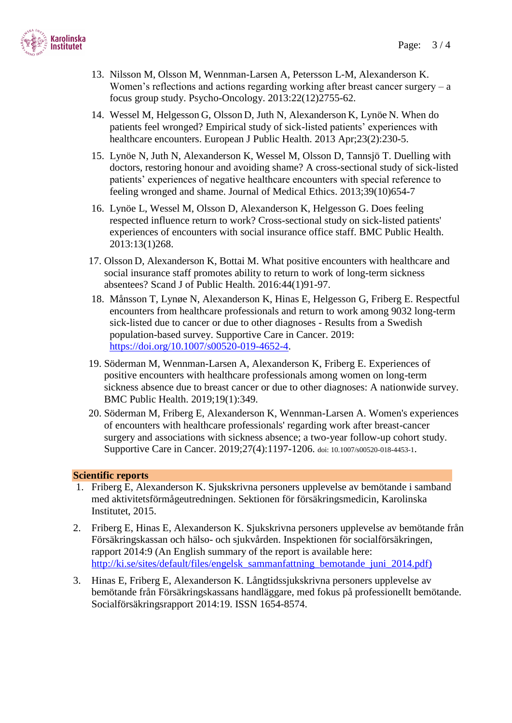

- 13. Nilsson M, Olsson M, Wennman-Larsen A, Petersson L-M, Alexanderson K. Women's reflections and actions regarding working after breast cancer surgery – a focus group study. Psycho-Oncology. 2013:22(12)2755-62.
- 14. Wessel M, Helgesson G, Olsson D, Juth N, Alexanderson K, Lynöe N. When do patients feel wronged? Empirical study of sick-listed patients' experiences with healthcare encounters. European J Public Health. 2013 Apr;23(2):230-5.
- 15. Lynöe N, Juth N, Alexanderson K, Wessel M, Olsson D, Tannsjö T. Duelling with doctors, restoring honour and avoiding shame? A cross-sectional study of sick-listed patients' experiences of negative healthcare encounters with special reference to feeling wronged and shame. Journal of Medical Ethics. 2013;39(10)654-7
- 16. Lynöe L, Wessel M, Olsson D, Alexanderson K, Helgesson G. Does feeling respected influence return to work? Cross-sectional study on sick-listed patients' experiences of encounters with social insurance office staff. BMC Public Health. 2013:13(1)268.
- 17. Olsson D, Alexanderson K, Bottai M. What positive encounters with healthcare and social insurance staff promotes ability to return to work of long-term sickness absentees? Scand J of Public Health. 2016:44(1)91-97.
- 18. Månsson T, Lynøe N, Alexanderson K, Hinas E, Helgesson G, Friberg E. Respectful encounters from healthcare professionals and return to work among 9032 long-term sick-listed due to cancer or due to other diagnoses - Results from a Swedish population-based survey. Supportive Care in Cancer. 2019: [https://doi.org/10.1007/s00520-019-4652-4.](https://doi.org/10.1007/s00520-019-4652-4)
- 19. Söderman M, Wennman-Larsen A, Alexanderson K, Friberg E. Experiences of positive encounters with healthcare professionals among women on long-term sickness absence due to breast cancer or due to other diagnoses: A nationwide survey. BMC Public Health. 2019;19(1):349.
- 20. Söderman M, Friberg E, Alexanderson K, Wennman-Larsen A. Women's experiences of encounters with healthcare professionals' regarding work after breast-cancer surgery and associations with sickness absence; a two-year follow-up cohort study. Supportive Care in Cancer. 2019;27(4):1197-1206. doi: 10.1007/s00520-018-4453-1.

#### **Scientific reports**

- 1. Friberg E, Alexanderson K. Sjukskrivna personers upplevelse av bemötande i samband med aktivitetsförmågeutredningen. Sektionen för försäkringsmedicin, Karolinska Institutet, 2015.
- 2. Friberg E, Hinas E, Alexanderson K. Sjukskrivna personers upplevelse av bemötande från Försäkringskassan och hälso- och sjukvården. Inspektionen för socialförsäkringen, rapport 2014:9 (An English summary of the report is available here: [http://ki.se/sites/default/files/engelsk\\_sammanfattning\\_bemotande\\_juni\\_2014.pdf\)](http://ki.se/sites/default/files/engelsk_sammanfattning_bemotande_juni_2014.pdf)
- 3. Hinas E, Friberg E, Alexanderson K. Långtidssjukskrivna personers upplevelse av bemötande från Försäkringskassans handläggare, med fokus på professionellt bemötande. Socialförsäkringsrapport 2014:19. ISSN 1654-8574.